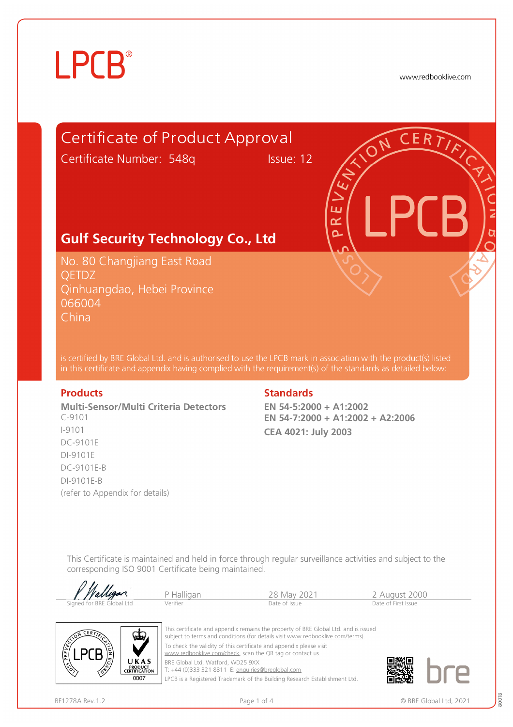# **LPCB**®

www.redbooklive.com



is certified by BRE Global Ltd. and is authorised to use the LPCB mark in association with the product(s) listed in this certificate and appendix having complied with the requirement(s) of the standards as detailed below:

**Multi-Sensor/Multi Criteria Detectors**  C-9101 I-9101 DC-9101E DI-9101E DC-9101E-B DI-9101E-B (refer to Appendix for details)

### **Products Standards**

**EN 54-5:2000 + A1:2002 EN 54-7:2000 + A1:2002 + A2:2006 CEA 4021: July 2003** 

This Certificate is maintained and held in force through regular surveillance activities and subject to the corresponding ISO 9001 Certificate being maintained.

| Walligan                  |            |               |                     |  |
|---------------------------|------------|---------------|---------------------|--|
|                           | P Halligan | 28 May 2021   | 2 August 2000       |  |
| Signed for BRE Global Ltd | Verifier   | Date of Issue | Date of First Issue |  |



This certificate and appendix remains the property of BRE Global Ltd. and is issued subject to terms and conditions (for details visit [www.redbooklive.com/terms\)](http://www.redbooklive.com/terms)). To check the validity of this certificate and appendix please visit [www.redbooklive.com/check,](http://www.redbooklive.com/check) scan the QR tag or contact us. BRE Global Ltd, Watford, WD25 9XX

T: +44 (0)333 321 8811 E: [enquiries@breglobal.com](mailto:enquiries@breglobal.com)

LPCB is a Registered Trademark of the Building Research Establishment Ltd.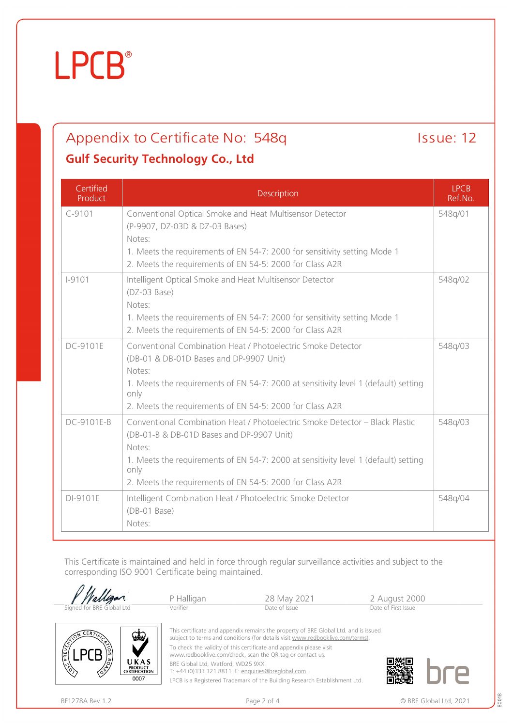# **LPCB**

## Appendix to Certificate No: 548q Issue: 12 **Gulf Security Technology Co., Ltd**

### **Certified** Product Description LPCB Ref.No. C-9101 Conventional Optical Smoke and Heat Multisensor Detector (P-9907, DZ-03D & DZ-03 Bases) Notes: 1. Meets the requirements of EN 54-7: 2000 for sensitivity setting Mode 1 2. Meets the requirements of EN 54-5: 2000 for Class A2R 548q/01 I-9101 Intelligent Optical Smoke and Heat Multisensor Detector (DZ-03 Base) Notes: 1. Meets the requirements of EN 54-7: 2000 for sensitivity setting Mode 1 2. Meets the requirements of EN 54-5: 2000 for Class A2R 548q/02 DC-9101E Conventional Combination Heat / Photoelectric Smoke Detector (DB-01 & DB-01D Bases and DP-9907 Unit) Notes: 1. Meets the requirements of EN 54-7: 2000 at sensitivity level 1 (default) setting only 2. Meets the requirements of EN 54-5: 2000 for Class A2R 548q/03 DC-9101E-B Conventional Combination Heat / Photoelectric Smoke Detector – Black Plastic (DB-01-B & DB-01D Bases and DP-9907 Unit) Notes: 1. Meets the requirements of EN 54-7: 2000 at sensitivity level 1 (default) setting only 2. Meets the requirements of EN 54-5: 2000 for Class A2R 548q/03 DI-9101E | Intelligent Combination Heat / Photoelectric Smoke Detector (DB-01 Base) Notes: 548q/04

This Certificate is maintained and held in force through regular surveillance activities and subject to the corresponding ISO 9001 Certificate being maintained.

| <i>Halligan</i>           | P Halligan | 28 May 2021                                                                         | 2 August 2000       |
|---------------------------|------------|-------------------------------------------------------------------------------------|---------------------|
| Signed for BRE Global Ltd | Verifier   | Date of Issue                                                                       | Date of First Issue |
| N CERTIN                  |            | This certificate and appendix remains the property of BRE Global Ltd. and is issued |                     |



To check the validity of this certificate and appendix please visit

[www.redbooklive.com/check](http://www.redbooklive.com/check), scan the QR tag or contact us.

BRE Global Ltd, Watford, WD25 9XX

T: +44 (0)333 321 8811 E: [enquiries@breglobal.com](mailto:enquiries@breglobal.com)

LPCB is a Registered Trademark of the Building Research Establishment Ltd.



 $0007$ 

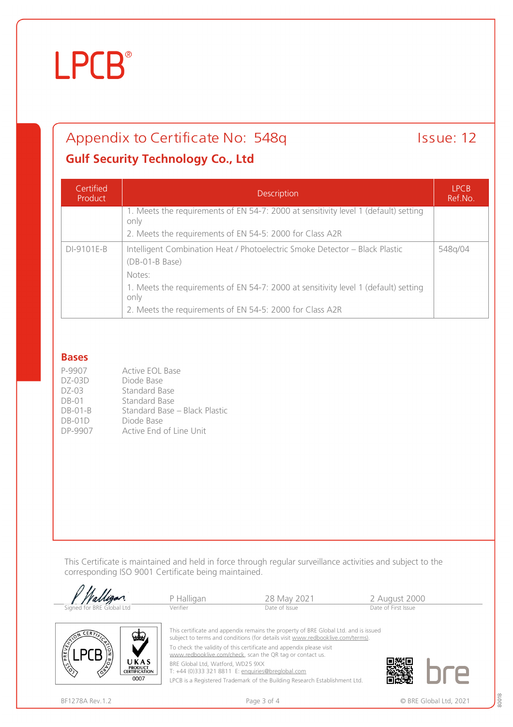# **LPCB**®

## Appendix to Certificate No: 548q Issue: 12

## **Gulf Security Technology Co., Ltd**

| Certified<br>Product | <b>Description</b>                                                                              | <b>LPCB</b><br>Ref.No. |
|----------------------|-------------------------------------------------------------------------------------------------|------------------------|
|                      | 1. Meets the requirements of EN 54-7: 2000 at sensitivity level 1 (default) setting<br>only     |                        |
|                      | 2. Meets the requirements of EN 54-5: 2000 for Class A2R                                        |                        |
| DI-9101E-B           | Intelligent Combination Heat / Photoelectric Smoke Detector - Black Plastic<br>$(DB-01-B$ Base) | 548q/04                |
|                      | Notes:                                                                                          |                        |
|                      | 1. Meets the requirements of EN 54-7: 2000 at sensitivity level 1 (default) setting<br>only     |                        |
|                      | 2. Meets the requirements of EN 54-5: 2000 for Class A2R                                        |                        |

### **Bases**

| P-9907    | Active EOL Base               |
|-----------|-------------------------------|
| $DZ-03D$  | Diode Base                    |
| $DZ-03$   | Standard Base                 |
| $DB-01$   | Standard Base                 |
| $DB-01-B$ | Standard Base – Black Plastic |
| $DB-01D$  | Diode Base                    |
| DP-9907   | Active End of Line Unit       |

**PRODUCT<br>CERTIFICATION** 0007

This Certificate is maintained and held in force through regular surveillance activities and subject to the corresponding ISO 9001 Certificate being maintained.



BRE Global Ltd, Watford, WD25 9XX

T: +44 (0)333 321 8811 E: [enquiries@breglobal.com](mailto:enquiries@breglobal.com)

LPCB is a Registered Trademark of the Building Research Establishment Ltd.

80018